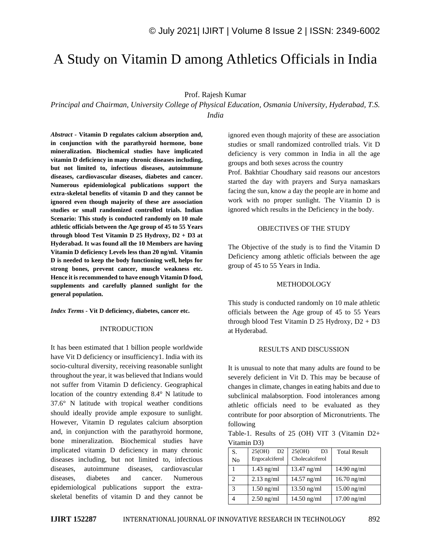# A Study on Vitamin D among Athletics Officials in India

Prof. Rajesh Kumar

*Principal and Chairman, University College of Physical Education, Osmania University, Hyderabad, T.S. India*

*Abstract -* **Vitamin D regulates calcium absorption and, in conjunction with the parathyroid hormone, bone mineralization. Biochemical studies have implicated vitamin D deficiency in many chronic diseases including, but not limited to, infectious diseases, autoimmune diseases, cardiovascular diseases, diabetes and cancer. Numerous epidemiological publications support the extra-skeletal benefits of vitamin D and they cannot be ignored even though majority of these are association studies or small randomized controlled trials. Indian Scenario: This study is conducted randomly on 10 male athletic officials between the Age group of 45 to 55 Years through blood Test Vitamin D 25 Hydroxy, D2 + D3 at Hyderabad. It was found all the 10 Members are having Vitamin D deficiency Levels less than 20 ng/ml. Vitamin D is needed to keep the body functioning well, helps for strong bones, prevent cancer, muscle weakness etc. Hence it is recommended to have enough Vitamin D food, supplements and carefully planned sunlight for the general population.**

*Index Terms -* **Vit D deficiency, diabetes, cancer etc.**

#### INTRODUCTION

It has been estimated that 1 billion people worldwide have Vit D deficiency or insufficiency1. India with its socio-cultural diversity, receiving reasonable sunlight throughout the year, it was believed that Indians would not suffer from Vitamin D deficiency. Geographical location of the country extending 8.4° N latitude to 37.6° N latitude with tropical weather conditions should ideally provide ample exposure to sunlight. However, Vitamin D regulates calcium absorption and, in conjunction with the parathyroid hormone, bone mineralization. Biochemical studies have implicated vitamin D deficiency in many chronic diseases including, but not limited to, infectious diseases, autoimmune diseases, cardiovascular diseases, diabetes and cancer. Numerous epidemiological publications support the extraskeletal benefits of vitamin D and they cannot be ignored even though majority of these are association studies or small randomized controlled trials. Vit D deficiency is very common in India in all the age groups and both sexes across the country Prof. Bakhtiar Choudhary said reasons our ancestors started the day with prayers and Surya namaskars

facing the sun, know a day the people are in home and work with no proper sunlight. The Vitamin D is ignored which results in the Deficiency in the body.

#### OBJECTIVES OF THE STUDY

The Objective of the study is to find the Vitamin D Deficiency among athletic officials between the age group of 45 to 55 Years in India.

#### METHODOLOGY

This study is conducted randomly on 10 male athletic officials between the Age group of 45 to 55 Years through blood Test Vitamin D 25 Hydroxy, D2 + D3 at Hyderabad.

#### RESULTS AND DISCUSSION

It is unusual to note that many adults are found to be severely deficient in Vit D. This may be because of changes in climate, changes in eating habits and due to subclinical malabsorption. Food intolerances among athletic officials need to be evaluated as they contribute for poor absorption of Micronutrients. The following

Table-1. Results of 25 (OH) VIT 3 (Vitamin D2+ Vitamin D3)

| S.<br>No           | 25(OH)<br>D <sub>2</sub><br>Ergocalciferol | 25(OH)<br>D <sub>3</sub><br>Cholecalciferol | <b>Total Result</b> |
|--------------------|--------------------------------------------|---------------------------------------------|---------------------|
|                    | $1.43$ ng/ml                               | 13.47 ng/ml                                 | 14.90 ng/ml         |
|                    | $2.13$ ng/ml                               | $14.57$ ng/ml                               | $16.70$ ng/ml       |
| $\mathbf{\hat{z}}$ | $1.50$ ng/ml                               | $13.50$ ng/ml                               | $15.00$ ng/ml       |
|                    | $2.50$ ng/ml                               | $14.50$ ng/ml                               | $17.00$ ng/ml       |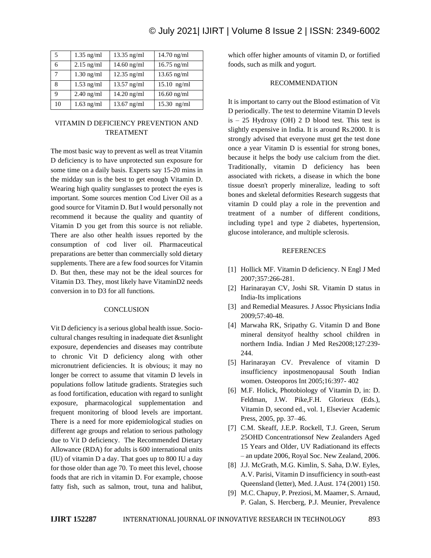| 5  | $1.35$ ng/ml | $13.35$ ng/ml | 14.70 ng/ml   |
|----|--------------|---------------|---------------|
| 6  | $2.15$ ng/ml | $14.60$ ng/ml | $16.75$ ng/ml |
| 7  | $1.30$ ng/ml | $12.35$ ng/ml | $13.65$ ng/ml |
| 8  | $1.53$ ng/ml | $13.57$ ng/ml | $15.10$ ng/ml |
| q  | $2.40$ ng/ml | $14.20$ ng/ml | $16.60$ ng/ml |
| 10 | $1.63$ ng/ml | $13.67$ ng/ml | $15.30$ ng/ml |

## VITAMIN D DEFICIENCY PREVENTION AND TREATMENT

The most basic way to prevent as well as treat Vitamin D deficiency is to have unprotected sun exposure for some time on a daily basis. Experts say 15-20 mins in the midday sun is the best to get enough Vitamin D. Wearing high quality sunglasses to protect the eyes is important. Some sources mention Cod Liver Oil as a good source for Vitamin D. But I would personally not recommend it because the quality and quantity of Vitamin D you get from this source is not reliable. There are also other health issues reported by the consumption of cod liver oil. Pharmaceutical preparations are better than commercially sold dietary supplements. There are a few food sources for Vitamin D. But then, these may not be the ideal sources for Vitamin D3. They, most likely have VitaminD2 needs conversion in to D3 for all functions.

## **CONCLUSION**

Vit D deficiency is a serious global health issue. Sociocultural changes resulting in inadequate diet &sunlight exposure, dependencies and diseases may contribute to chronic Vit D deficiency along with other micronutrient deficiencies. It is obvious; it may no longer be correct to assume that vitamin D levels in populations follow latitude gradients. Strategies such as food fortification, education with regard to sunlight exposure, pharmacological supplementation and frequent monitoring of blood levels are important. There is a need for more epidemiological studies on different age groups and relation to serious pathology due to Vit D deficiency. The Recommended Dietary Allowance (RDA) for adults is 600 international units (IU) of vitamin D a day. That goes up to 800 IU a day for those older than age 70. To meet this level, choose foods that are rich in vitamin D. For example, choose fatty fish, such as salmon, trout, tuna and halibut,

which offer higher amounts of vitamin D, or fortified foods, such as milk and yogurt.

## RECOMMENDATION

It is important to carry out the Blood estimation of Vit D periodically. The test to determine Vitamin D levels  $is - 25$  Hydroxy (OH) 2 D blood test. This test is slightly expensive in India. It is around Rs.2000. It is strongly advised that everyone must get the test done once a year Vitamin D is essential for strong bones, because it helps the body use calcium from the diet. Traditionally, vitamin D deficiency has been associated with rickets, a disease in which the bone tissue doesn't properly mineralize, leading to soft bones and skeletal deformities Research suggests that vitamin D could play a role in the prevention and treatment of a number of different conditions, including type1 and type 2 diabetes, hypertension, glucose intolerance, and multiple sclerosis.

### REFERENCES

- [1] Hollick MF. Vitamin D deficiency. N Engl J Med 2007;357:266-281.
- [2] Harinarayan CV, Joshi SR. Vitamin D status in India-Its implications
- [3] and Remedial Measures. J Assoc Physicians India 2009;57:40-48.
- [4] Marwaha RK, Sripathy G. Vitamin D and Bone mineral densityof healthy school children in northern India. Indian J Med Res2008;127:239- 244.
- [5] Harinarayan CV. Prevalence of vitamin D insufficiency inpostmenopausal South Indian women. Osteoporos Int 2005;16:397- 402
- [6] M.F. Holick, Photobiology of Vitamin D, in: D. Feldman, J.W. Pike,F.H. Glorieux (Eds.), Vitamin D, second ed., vol. 1, Elsevier Academic Press, 2005, pp. 37–46.
- [7] C.M. Skeaff, J.E.P. Rockell, T.J. Green, Serum 25OHD Concentrationsof New Zealanders Aged 15 Years and Older, UV Radiationand its effects – an update 2006, Royal Soc. New Zealand, 2006.
- [8] J.J. McGrath, M.G. Kimlin, S. Saha, D.W. Eyles, A.V. Parisi, Vitamin D insufficiency in south-east Queensland (letter), Med. J.Aust. 174 (2001) 150.
- [9] M.C. Chapuy, P. Preziosi, M. Maamer, S. Arnaud, P. Galan, S. Hercberg, P.J. Meunier, Prevalence